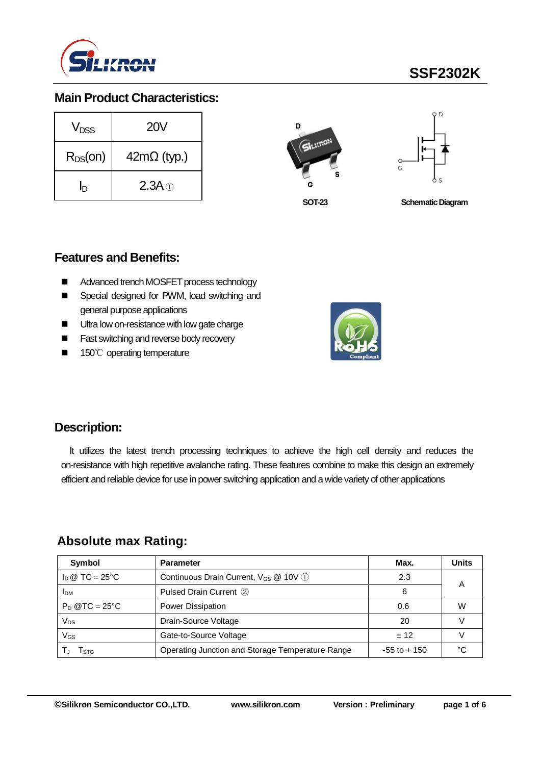

# **SSF2302K**

## **Main Product Characteristics:**

| V <sub>nss</sub> | <b>20V</b>         |
|------------------|--------------------|
| $R_{DS}(on)$     | $42m\Omega$ (typ.) |
| n                | $2.3A \odot$       |





**SOT-23**

**Schematic Diagram** 

### **Features and Benefits:**

- Advanced trench MOSFET process technology
- Special designed for PWM, load switching and general purpose applications
- Ultra low on-resistance with low gate charge
- **Fast switching and reverse body recovery**
- 150℃ operating temperature



### **Description:**

It utilizes the latest trench processing techniques to achieve the high cell density and reduces the on-resistance with high repetitive avalanche rating. These features combine to make this design an extremely efficient and reliable device for use in power switching application and a wide variety of other applications

### **Absolute max Rating:**

| Symbol                         | <b>Parameter</b>                                       | Max.            | <b>Units</b> |
|--------------------------------|--------------------------------------------------------|-----------------|--------------|
| $I_D \otimes TC = 25^{\circ}C$ | Continuous Drain Current, $V_{GS}$ @ 10V $\circled{1}$ | 2.3             |              |
| <b>IDM</b>                     | Pulsed Drain Current 2                                 | 6               | А            |
| $P_D$ @TC = 25°C               | Power Dissipation                                      | 0.6             | W            |
| Vps                            | Drain-Source Voltage                                   | 20              |              |
| VGs                            | Gate-to-Source Voltage                                 | ± 12            |              |
| l stg                          | Operating Junction and Storage Temperature Range       | $-55$ to $+150$ | ∘∩           |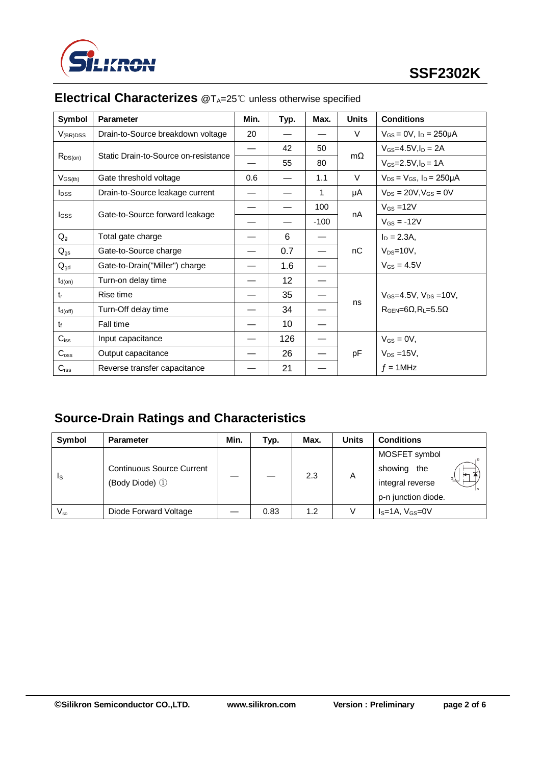

| Symbol                  | <b>Parameter</b>                     | Min. | Typ. | Max.   | <b>Units</b> | <b>Conditions</b>                           |  |
|-------------------------|--------------------------------------|------|------|--------|--------------|---------------------------------------------|--|
| $V_{(BR)DSS}$           | Drain-to-Source breakdown voltage    | 20   |      |        | V            | $V_{GS} = 0V$ , $I_D = 250 \mu A$           |  |
| $R_{DS(on)}$            | Static Drain-to-Source on-resistance |      | 42   | 50     | $m\Omega$    | $V_{GS} = 4.5V, I_D = 2A$                   |  |
|                         |                                      |      | 55   | 80     |              | $V_{GS} = 2.5 V, I_D = 1 A$                 |  |
| $V_{GS(th)}$            | Gate threshold voltage               | 0.6  |      | 1.1    | V            | $V_{DS} = V_{GS}$ , $I_D = 250 \mu A$       |  |
| <b>I</b> <sub>DSS</sub> | Drain-to-Source leakage current      |      |      | 1      | μA           | $V_{DS} = 20V, V_{GS} = 0V$                 |  |
|                         |                                      |      |      | 100    |              | $V_{GS} = 12V$                              |  |
| lgss                    | Gate-to-Source forward leakage       |      |      | $-100$ | nA           | $V_{GS} = -12V$                             |  |
| $Q_{q}$                 | Total gate charge                    |      | 6    |        |              | $I_D = 2.3A$ ,                              |  |
| $Q_{gs}$                | Gate-to-Source charge                |      | 0.7  |        | nC           | $V_{DS}=10V$ ,                              |  |
| $Q_{gd}$                | Gate-to-Drain("Miller") charge       |      | 1.6  |        |              | $V_{GS} = 4.5V$                             |  |
| $t_{d(on)}$             | Turn-on delay time                   |      | 12   |        |              |                                             |  |
| $t_{r}$                 | Rise time                            |      | 35   |        |              | $V_{GS} = 4.5V$ , $V_{DS} = 10V$ ,          |  |
| $t_{d(off)}$            | Turn-Off delay time                  |      | 34   |        | ns           | $R_{\text{GEN}} = 6\Omega, R_1 = 5.5\Omega$ |  |
| $t_{\rm f}$             | Fall time                            |      | 10   |        |              |                                             |  |
| $C_{iss}$               | Input capacitance                    |      | 126  |        |              | $V_{GS} = 0V$ ,                             |  |
| $C_{\rm oss}$           | Output capacitance                   |      | 26   |        | pF           | $V_{DS} = 15V$ ,                            |  |
| $C_{\text{rss}}$        | Reverse transfer capacitance         |      | 21   |        |              | $f = 1$ MHz                                 |  |

## **Electrical Characterizes** @T<sub>A</sub>=25℃ unless otherwise specified

## **Source-Drain Ratings and Characteristics**

| Symbol                     | <b>Parameter</b>                                   | Min. | Typ. | Max. | <b>Units</b> | <b>Conditions</b>   |  |
|----------------------------|----------------------------------------------------|------|------|------|--------------|---------------------|--|
| Is                         | <b>Continuous Source Current</b><br>(Body Diode) 1 |      |      | 2.3  | A            | MOSFET symbol       |  |
|                            |                                                    |      |      |      |              | showing<br>the      |  |
|                            |                                                    |      |      |      |              | integral reverse    |  |
|                            |                                                    |      |      |      |              | p-n junction diode. |  |
| $\mathsf{V}_{\mathsf{SD}}$ | Diode Forward Voltage                              |      | 0.83 | 1.2  |              | $IS=1A, VGS=0V$     |  |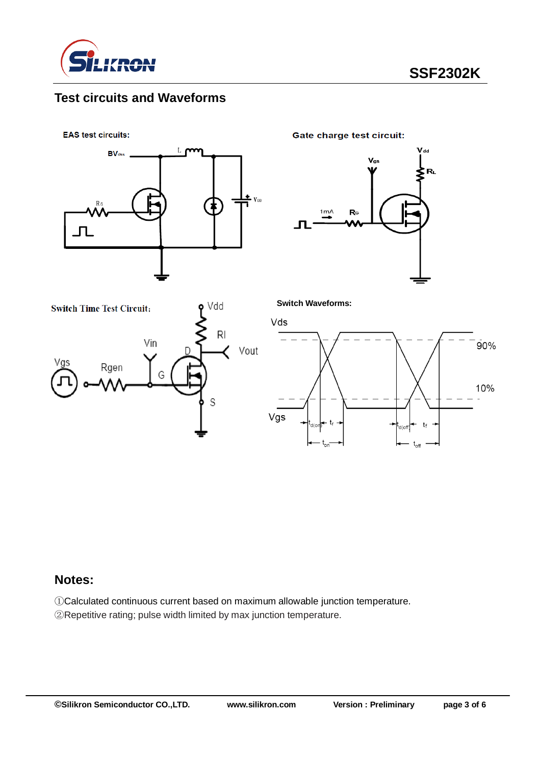

## **Test circuits and Waveforms**

**EAS test circuits:** 



**Gate charge test circuit:** 





**Switch Waveforms:**



#### **Notes:**

①Calculated continuous current based on maximum allowable junction temperature. ②Repetitive rating; pulse width limited by max junction temperature.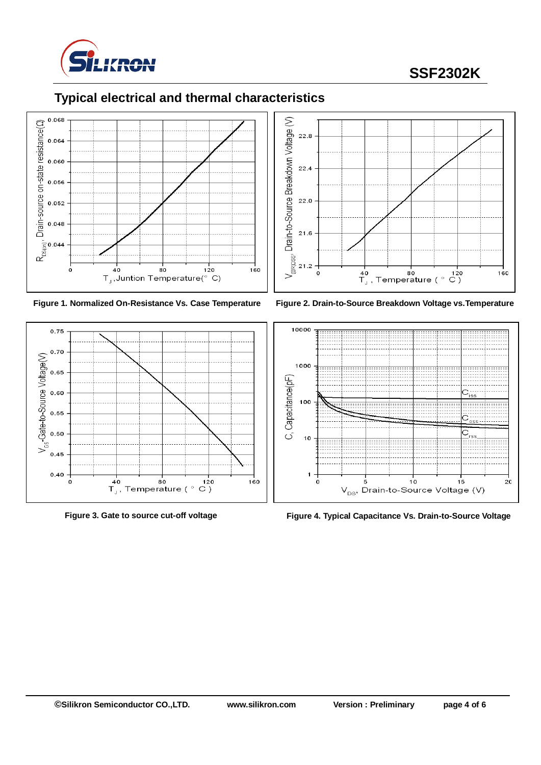

# **SSF2302K**



## **Typical electrical and thermal characteristics**











**Figure 3. Gate to source cut-off voltage Figure 4. Typical Capacitance Vs. Drain-to-Source Voltage**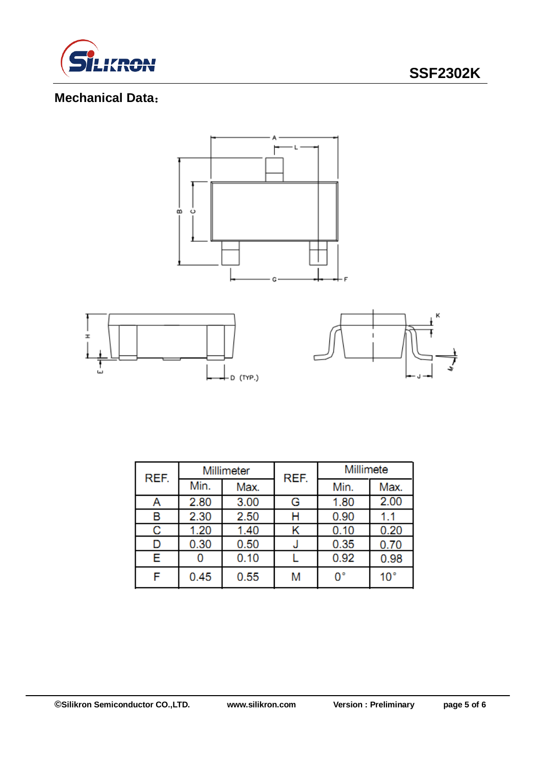

## **Mechanical Data**:



| REF. | Millimeter |      | REF. | Millimete |              |  |
|------|------------|------|------|-----------|--------------|--|
|      | Min.       | Max. |      | Min.      | Max.         |  |
| Α    | 2.80       | 3.00 | G    | 1.80      | 2.00         |  |
| B    | 2.30       | 2.50 | Н    | 0.90      | 1.1          |  |
| С    | 1.20       | 1.40 |      | 0.10      | 0.20         |  |
| D    | 0.30       | 0.50 |      | 0.35      | 0.70         |  |
| Е    |            | 0.10 |      | 0.92      | 0.98         |  |
| F    | 0.45       | 0.55 | M    | 0°        | $10^{\circ}$ |  |